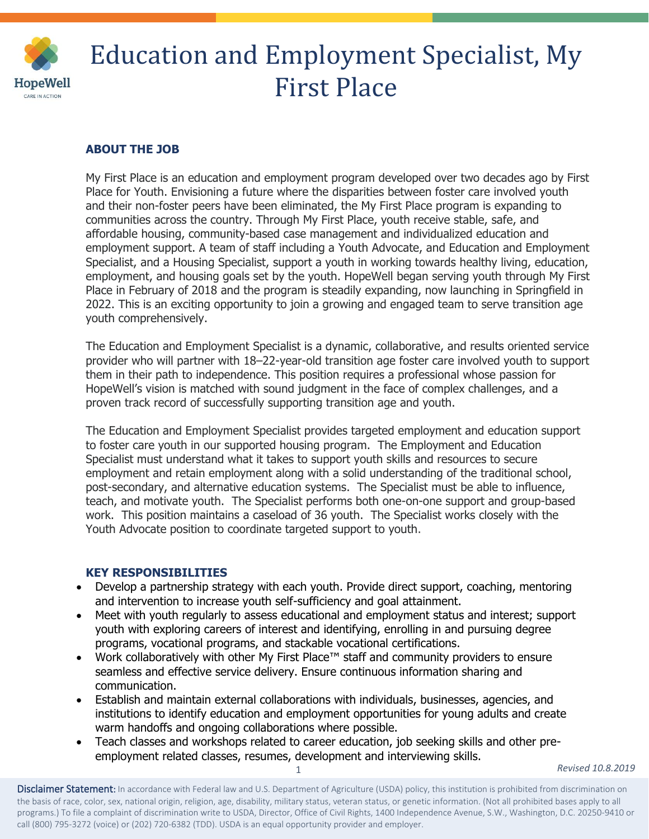

# Education and Employment Specialist, My First Place

## **ABOUT THE JOB**

My First Place is an education and employment program developed over two decades ago by First Place for Youth. Envisioning a future where the disparities between foster care involved youth and their non-foster peers have been eliminated, the My First Place program is expanding to communities across the country. Through My First Place, youth receive stable, safe, and affordable housing, community-based case management and individualized education and employment support. A team of staff including a Youth Advocate, and Education and Employment Specialist, and a Housing Specialist, support a youth in working towards healthy living, education, employment, and housing goals set by the youth. HopeWell began serving youth through My First Place in February of 2018 and the program is steadily expanding, now launching in Springfield in 2022. This is an exciting opportunity to join a growing and engaged team to serve transition age youth comprehensively.

The Education and Employment Specialist is a dynamic, collaborative, and results oriented service provider who will partner with 18–22-year-old transition age foster care involved youth to support them in their path to independence. This position requires a professional whose passion for HopeWell's vision is matched with sound judgment in the face of complex challenges, and a proven track record of successfully supporting transition age and youth.

The Education and Employment Specialist provides targeted employment and education support to foster care youth in our supported housing program. The Employment and Education Specialist must understand what it takes to support youth skills and resources to secure employment and retain employment along with a solid understanding of the traditional school, post-secondary, and alternative education systems. The Specialist must be able to influence, teach, and motivate youth. The Specialist performs both one-on-one support and group-based work. This position maintains a caseload of 36 youth. The Specialist works closely with the Youth Advocate position to coordinate targeted support to youth.

### **KEY RESPONSIBILITIES**

- Develop a partnership strategy with each youth. Provide direct support, coaching, mentoring and intervention to increase youth self-sufficiency and goal attainment.
- Meet with youth regularly to assess educational and employment status and interest; support youth with exploring careers of interest and identifying, enrolling in and pursuing degree programs, vocational programs, and stackable vocational certifications.
- Work collaboratively with other My First Place™ staff and community providers to ensure seamless and effective service delivery. Ensure continuous information sharing and communication.
- Establish and maintain external collaborations with individuals, businesses, agencies, and institutions to identify education and employment opportunities for young adults and create warm handoffs and ongoing collaborations where possible.
- Teach classes and workshops related to career education, job seeking skills and other preemployment related classes, resumes, development and interviewing skills.

1

*Revised 10.8.2019*

Disclaimer Statement: In accordance with Federal law and U.S. Department of Agriculture (USDA) policy, this institution is prohibited from discrimination on the basis of race, color, sex, national origin, religion, age, disability, military status, veteran status, or genetic information. (Not all prohibited bases apply to all programs.) To file a complaint of discrimination write to USDA, Director, Office of Civil Rights, 1400 Independence Avenue, S.W., Washington, D.C. 20250-9410 or call (800) 795-3272 (voice) or (202) 720-6382 (TDD). USDA is an equal opportunity provider and employer.